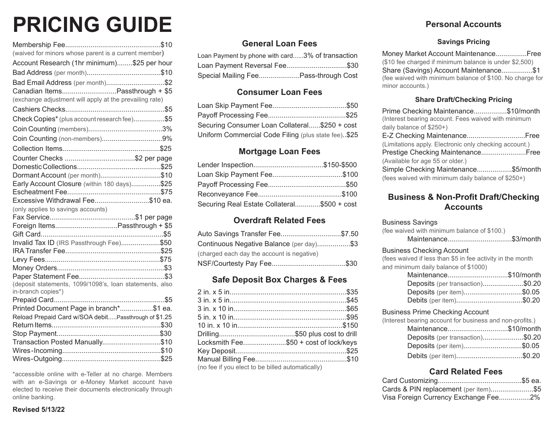## **PRICING GUIDE**

| (waived for minors whose parent is a current member)    |
|---------------------------------------------------------|
| Account Research (1hr minimum)\$25 per hour             |
|                                                         |
| Bad Email Address (per month)\$2                        |
| Canadian ItemsPassthrough + \$5                         |
| (exchange adjustment will apply at the prevailing rate) |
|                                                         |
| Check Copies* (plus account research fee)\$5            |
|                                                         |
|                                                         |
|                                                         |
|                                                         |
|                                                         |
| Dormant Account (per month)\$10                         |
| Early Account Closure (within 180 days)\$25             |
|                                                         |
| Excessive Withdrawal Fee\$10 ea.                        |
| (only applies to savings accounts)                      |
|                                                         |
|                                                         |
|                                                         |
| Invalid Tax ID (IRS Passthrough Fee)\$50                |
|                                                         |
|                                                         |
|                                                         |
|                                                         |
| (deposit statements, 1099/1098's, loan statements, also |
| in-branch copies*)                                      |
|                                                         |
| Printed Document Page in branch*\$1 ea.                 |
| Reload Prepaid Card w/SOA debitPassthrough of \$1.25    |
|                                                         |
|                                                         |
| Transaction Posted Manually\$10                         |
|                                                         |
|                                                         |

\*accessible online with e-Teller at no charge. Members with an e-Savings or e-Money Market account have elected to receive their documents electronically through online banking.

#### **General Loan Fees**

| Loan Payment by phone with card3% of transaction |  |
|--------------------------------------------------|--|
| Loan Payment Reversal Fee\$30                    |  |
| Special Mailing FeePass-through Cost             |  |

#### **Consumer Loan Fees**

| Securing Consumer Loan Collateral\$250 + cost       |  |
|-----------------------------------------------------|--|
| Uniform Commercial Code Filing (plus state fee)\$25 |  |

#### **Mortgage Loan Fees**

| Lender Inspection\$150-\$500                |  |
|---------------------------------------------|--|
|                                             |  |
|                                             |  |
|                                             |  |
| Securing Real Estate Collateral\$500 + cost |  |

#### **Overdraft Related Fees**

| Auto Savings Transfer Fee\$7.50            |  |
|--------------------------------------------|--|
| Continuous Negative Balance (per day)\$3   |  |
| (charged each day the account is negative) |  |
|                                            |  |

#### **Safe Deposit Box Charges & Fees**

| Locksmith Fee\$50 + cost of lock/keys            |  |
|--------------------------------------------------|--|
|                                                  |  |
|                                                  |  |
| (no fee if you elect to be billed automatically) |  |

#### **Personal Accounts**

#### **Savings Pricing**

Money Market Account Maintenance................Free (\$10 fee charged if minimum balance is under \$2,500) Share (Savings) Account Maintenance................\$1 (fee waived with minimum balance of \$100. No charge for minor accounts.)

#### **Share Draft/Checking Pricing**

| Prime Checking Maintenance\$10/month                   |
|--------------------------------------------------------|
| (Interest bearing account. Fees waived with minimum    |
| daily balance of \$250+)                               |
|                                                        |
| (Limitations apply. Electronic only checking account.) |
| Prestige Checking Maintenance Free                     |
| (Available for age 55 or older.)                       |
| Simple Checking Maintenance\$5/month                   |
| (fees waived with minimum daily balance of \$250+)     |

#### **Business & Non-Profit Draft/Checking Accounts**

#### Business Savings

(fee waived with minimum balance of \$100.) Maintenance.................................\$3/month

#### Business Checking Account

(fees waived if less than \$5 in fee activity in the month and minimum daily balance of \$1000)

| Maintenance\$10/month            |  |
|----------------------------------|--|
| Deposits (per transaction)\$0.20 |  |
| Deposits (per item)\$0.05        |  |
| Debits (per item)\$0.20          |  |

#### Business Prime Checking Account

| (Interest bearing account for business and non-profits.) |  |
|----------------------------------------------------------|--|
| Maintenance\$10/month                                    |  |
| Deposits (per transaction)\$0.20                         |  |
| Deposits (per item)\$0.05                                |  |
| Debits (per item)\$0.20                                  |  |

#### **Card Related Fees**

| Cards & PIN replacement (per item)\$5 |  |
|---------------------------------------|--|
| Visa Foreign Currency Exchange Fee2%  |  |

**Revised 5/13/22**